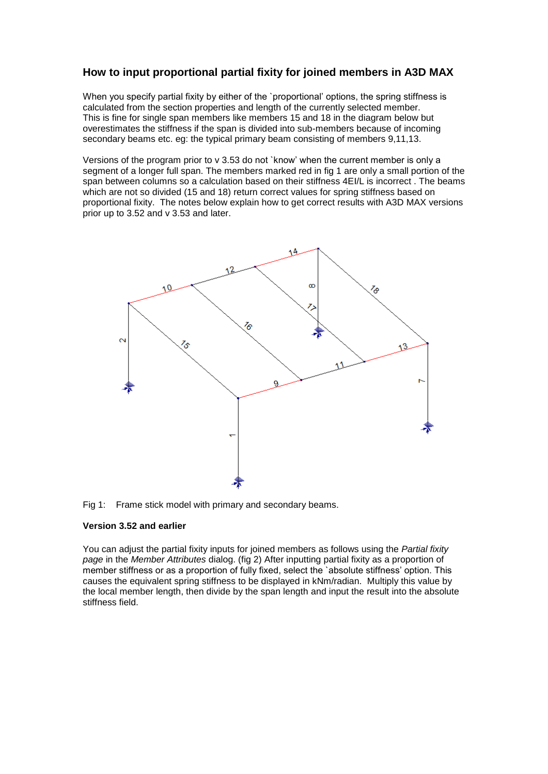## **How to input proportional partial fixity for joined members in A3D MAX**

When you specify partial fixity by either of the `proportional' options, the spring stiffness is calculated from the section properties and length of the currently selected member. This is fine for single span members like members 15 and 18 in the diagram below but overestimates the stiffness if the span is divided into sub-members because of incoming secondary beams etc. eg: the typical primary beam consisting of members 9,11,13.

Versions of the program prior to v 3.53 do not `know' when the current member is only a segment of a longer full span. The members marked red in fig 1 are only a small portion of the span between columns so a calculation based on their stiffness 4EI/L is incorrect . The beams which are not so divided (15 and 18) return correct values for spring stiffness based on proportional fixity. The notes below explain how to get correct results with A3D MAX versions prior up to 3.52 and v 3.53 and later.



Fig 1: Frame stick model with primary and secondary beams.

## **Version 3.52 and earlier**

You can adjust the partial fixity inputs for joined members as follows using the *Partial fixity page* in the *Member Attributes* dialog. (fig 2) After inputting partial fixity as a proportion of member stiffness or as a proportion of fully fixed, select the `absolute stiffness' option. This causes the equivalent spring stiffness to be displayed in kNm/radian. Multiply this value by the local member length, then divide by the span length and input the result into the absolute stiffness field.